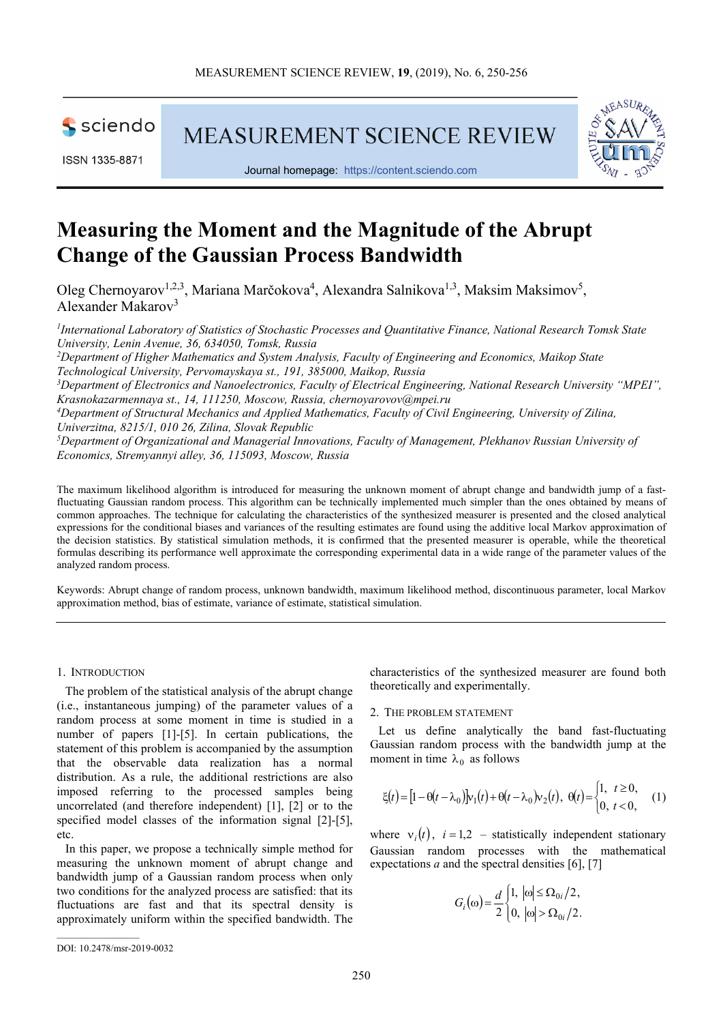sciendo

**MEASUREMENT SCIENCE REVIEW** 





Journal homepage: https://content.sciendo.com

# **Measuring the Moment and the Magnitude of the Abrupt Change of the Gaussian Process Bandwidth**

Oleg Chernoyarov<sup>1,2,3</sup>, Mariana Marčokova<sup>4</sup>, Alexandra Salnikova<sup>1,3</sup>, Maksim Maksimov<sup>5</sup>, Alexander Makarov<sup>3</sup>

*1 International Laboratory of Statistics of Stochastic Processes and Quantitative Finance, National Research Tomsk State University, Lenin Avenue, 36, 634050, Tomsk, Russia <sup>2</sup>Department of Higher Mathematics and System Analysis, Faculty of Engineering and Economics, Maikop State Technological University, Pervomayskaya st., 191, 385000, Maikop, Russia <sup>3</sup>Department of Electronics and Nanoelectronics, Faculty of Electrical Engineering, National Research University "MPEI", Krasnokazarmennaya st., 14, 111250, Moscow, Russia, chernoyarovov@mpei.ru <sup>4</sup>Department of Structural Mechanics and Applied Mathematics, Faculty of Civil Engineering, University of Zilina, Univerzitna, 8215/1, 010 26, Zilina, Slovak Republic <sup>5</sup>Department of Organizational and Managerial Innovations, Faculty of Management, Plekhanov Russian University of* 

*Economics, Stremyannyi alley, 36, 115093, Moscow, Russia* 

The maximum likelihood algorithm is introduced for measuring the unknown moment of abrupt change and bandwidth jump of a fastfluctuating Gaussian random process. This algorithm can be technically implemented much simpler than the ones obtained by means of common approaches. The technique for calculating the characteristics of the synthesized measurer is presented and the closed analytical expressions for the conditional biases and variances of the resulting estimates are found using the additive local Markov approximation of the decision statistics. By statistical simulation methods, it is confirmed that the presented measurer is operable, while the theoretical formulas describing its performance well approximate the corresponding experimental data in a wide range of the parameter values of the analyzed random process.

Keywords: Abrupt change of random process, unknown bandwidth, maximum likelihood method, discontinuous parameter, local Markov approximation method, bias of estimate, variance of estimate, statistical simulation.

### 1. INTRODUCTION

The problem of the statistical analysis of the abrupt change (i.e., instantaneous jumping) of the parameter values of a random process at some moment in time is studied in a number of papers [1]-[5]. In certain publications, the statement of this problem is accompanied by the assumption that the observable data realization has a normal distribution. As a rule, the additional restrictions are also imposed referring to the processed samples being uncorrelated (and therefore independent) [1], [2] or to the specified model classes of the information signal [2]-[5], etc.

In this paper, we propose a technically simple method for measuring the unknown moment of abrupt change and bandwidth jump of a Gaussian random process when only two conditions for the analyzed process are satisfied: that its fluctuations are fast and that its spectral density is approximately uniform within the specified bandwidth. The characteristics of the synthesized measurer are found both theoretically and experimentally.

## 2. THE PROBLEM STATEMENT

Let us define analytically the band fast-fluctuating Gaussian random process with the bandwidth jump at the moment in time  $\lambda_0$  as follows

$$
\xi(t) = [1 - \theta(t - \lambda_0)]v_1(t) + \theta(t - \lambda_0)v_2(t), \ \theta(t) = \begin{cases} 1, & t \ge 0, \\ 0, & t < 0, \end{cases} (1)
$$

where  $v_i(t)$ ,  $i = 1,2$  – statistically independent stationary Gaussian random processes with the mathematical expectations *a* and the spectral densities [6], [7]

$$
G_i(\omega) = \frac{d}{2} \begin{cases} 1, & |\omega| \le \Omega_{0i}/2, \\ 0, & |\omega| > \Omega_{0i}/2. \end{cases}
$$

DOI: 10.2478/msr-2019-0032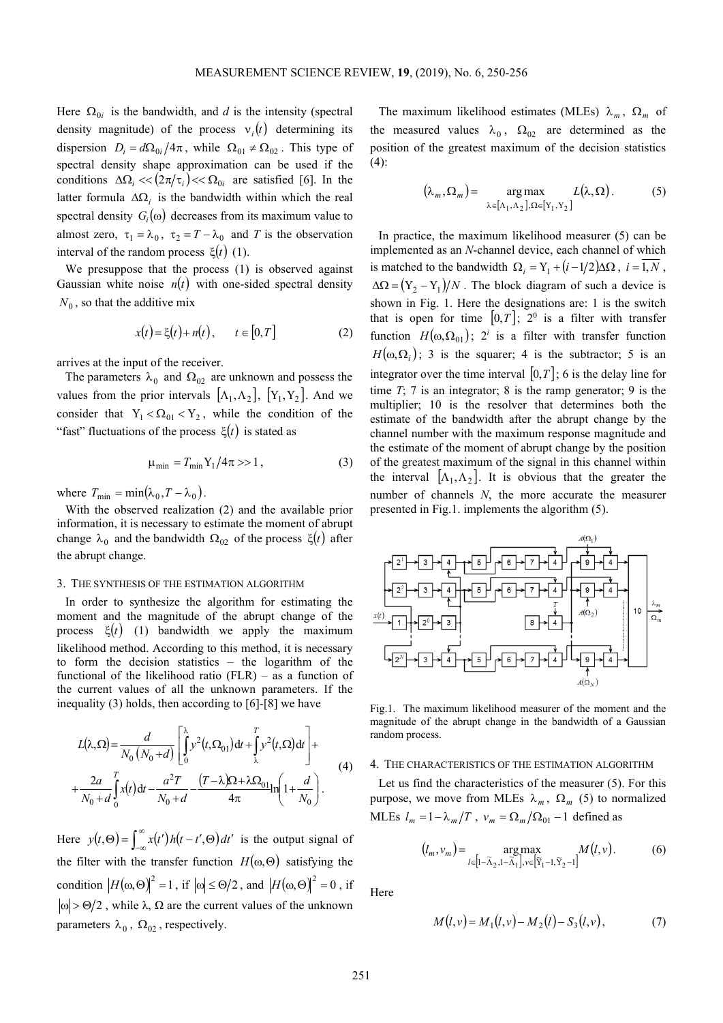Here  $\Omega_{0i}$  is the bandwidth, and *d* is the intensity (spectral density magnitude) of the process  $v_i(t)$  determining its dispersion  $D_i = d\Omega_{0i}/4\pi$ , while  $\Omega_{01} \neq \Omega_{02}$ . This type of spectral density shape approximation can be used if the conditions  $\Delta \Omega_i \ll ( 2\pi/\tau_i ) \ll \Omega_{0i}$  are satisfied [6]. In the latter formula  $\Delta\Omega_i$  is the bandwidth within which the real spectral density  $G_i(\omega)$  decreases from its maximum value to almost zero,  $\tau_1 = \lambda_0$ ,  $\tau_2 = T - \lambda_0$  and *T* is the observation interval of the random process  $\xi(t)$  (1).

We presuppose that the process (1) is observed against Gaussian white noise  $n(t)$  with one-sided spectral density  $N_0$ , so that the additive mix

$$
x(t) = \xi(t) + n(t), \qquad t \in [0, T]
$$
 (2)

arrives at the input of the receiver.

The parameters  $\lambda_0$  and  $\Omega_{02}$  are unknown and possess the values from the prior intervals  $[\Lambda_1, \Lambda_2]$ ,  $[Y_1, Y_2]$ . And we consider that  $Y_1 < \Omega_{01} < Y_2$ , while the condition of the "fast" fluctuations of the process  $\xi(t)$  is stated as

$$
\mu_{\min} = T_{\min} Y_1 / 4\pi >> 1, \qquad (3)
$$

where  $T_{\min} = \min(\lambda_0, T - \lambda_0)$ .

With the observed realization (2) and the available prior information, it is necessary to estimate the moment of abrupt change  $\lambda_0$  and the bandwidth  $\Omega_{02}$  of the process  $\xi(t)$  after the abrupt change.

#### 3. THE SYNTHESIS OF THE ESTIMATION ALGORITHM

In order to synthesize the algorithm for estimating the moment and the magnitude of the abrupt change of the process  $\xi(t)$  (1) bandwidth we apply the maximum likelihood method. According to this method, it is necessary to form the decision statistics – the logarithm of the functional of the likelihood ratio  $(FLR)$  – as a function of the current values of all the unknown parameters. If the inequality (3) holds, then according to [6]-[8] we have

$$
L(\lambda, \Omega) = \frac{d}{N_0 (N_0 + d)} \left[ \int_0^{\lambda} y^2(t, \Omega_{01}) dt + \int_{\lambda}^T y^2(t, \Omega) dt \right] +
$$
  
+ 
$$
\frac{2a}{N_0 + d} \int_0^T x(t) dt - \frac{a^2 T}{N_0 + d} - \frac{(T - \lambda)\Omega + \lambda \Omega_{01}}{4\pi} \ln\left(1 + \frac{d}{N_0}\right).
$$
 (4)

Here  $y(t, \Theta) = \int_{-\infty}^{\infty} x(t') h(t - t', \Theta) dt$  $y(t, \Theta) = \int_{-\infty}^{\infty} x(t') h(t - t', \Theta) dt'$  is the output signal of the filter with the transfer function  $H(\omega,\Theta)$  satisfying the condition  $|H(\omega, \Theta)|^2 = 1$ , if  $|\omega| \le \Theta/2$ , and  $|H(\omega, \Theta)|^2 = 0$ , if  $|\omega| > \Theta/2$ , while  $\lambda$ ,  $\Omega$  are the current values of the unknown parameters  $\lambda_0$ ,  $\Omega_{02}$ , respectively.

The maximum likelihood estimates (MLEs)  $\lambda_m$ ,  $\Omega_m$  of the measured values  $\lambda_0$ ,  $\Omega_{02}$  are determined as the position of the greatest maximum of the decision statistics  $(4)$ :

$$
(\lambda_m, \Omega_m) = \mathop{\arg\max}_{\lambda \in [\Lambda_1, \Lambda_2], \Omega \in [Y_1, Y_2]} L(\lambda, \Omega).
$$
 (5)

In practice, the maximum likelihood measurer (5) can be implemented as an *N*-channel device, each channel of which is matched to the bandwidth  $\Omega_i = Y_1 + (i - 1/2)\Delta\Omega$ ,  $i = 1, N$ ,  $\Delta\Omega = (Y_2 - Y_1)/N$ . The block diagram of such a device is shown in Fig. 1. Here the designations are: 1 is the switch that is open for time  $[0, T]$ ;  $2^0$  is a filter with transfer function  $H(\omega, \Omega_{01})$ ;  $2^i$  is a filter with transfer function  $H(\omega, \Omega_i)$ ; 3 is the squarer; 4 is the subtractor; 5 is an integrator over the time interval  $[0, T]$ ; 6 is the delay line for time *T*; 7 is an integrator; 8 is the ramp generator; 9 is the multiplier; 10 is the resolver that determines both the estimate of the bandwidth after the abrupt change by the channel number with the maximum response magnitude and the estimate of the moment of abrupt change by the position of the greatest maximum of the signal in this channel within the interval  $[\Lambda_1, \Lambda_2]$ . It is obvious that the greater the number of channels *N*, the more accurate the measurer presented in Fig.1. implements the algorithm (5).



Fig.1. The maximum likelihood measurer of the moment and the magnitude of the abrupt change in the bandwidth of a Gaussian random process.

## 4. THE CHARACTERISTICS OF THE ESTIMATION ALGORITHM

Let us find the characteristics of the measurer (5). For this purpose, we move from MLEs  $\lambda_m$ ,  $\Omega_m$  (5) to normalized MLEs  $l_m = 1 - \lambda_m / T$ ,  $v_m = \Omega_m / \Omega_{01} - 1$  defined as

$$
(l_m, v_m) = \underset{l \in [1 - \tilde{\Lambda}_2, 1 - \tilde{\Lambda}_1], v \in [\tilde{Y}_1 - 1, \tilde{Y}_2 - 1]}{\arg \max} M(l, v).
$$
 (6)

Here

$$
M(l, v) = M_1(l, v) - M_2(l) - S_3(l, v), \tag{7}
$$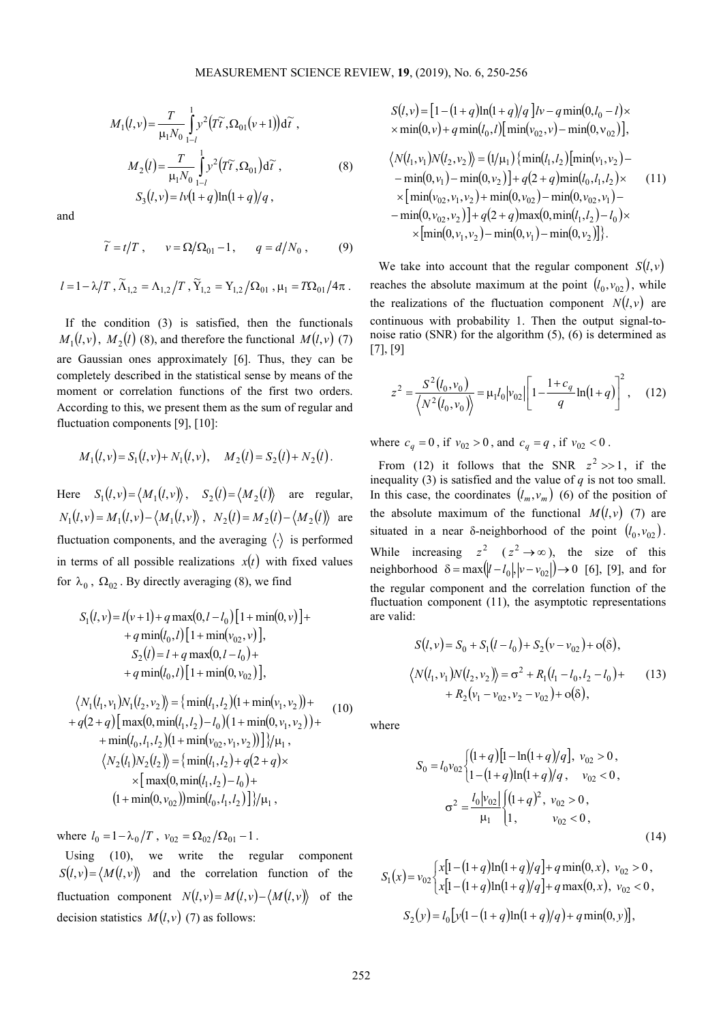$$
M_1(l, v) = \frac{T}{\mu_1 N_0} \int_{1-l}^{1} y^2 (T\tilde{t}, \Omega_{01}(v+1)) d\tilde{t},
$$
  

$$
M_2(l) = \frac{T}{\mu_1 N_0} \int_{1-l}^{1} y^2 (T\tilde{t}, \Omega_{01}) d\tilde{t},
$$
  

$$
S_3(l, v) = l v(1+q) \ln(1+q)/q,
$$
 (8)

and

$$
\widetilde{t} = t/T , \qquad v = \Omega/\Omega_{01} - 1 , \qquad q = d/N_0 , \qquad (9)
$$

 $l = 1 - \lambda/T$ ,  $\widetilde{\Lambda}_{1,2} = \Lambda_{1,2}/T$ ,  $\widetilde{Y}_{1,2} = Y_{1,2}/\Omega_{01}$ ,  $\mu_1 = T\Omega_{01}/4\pi$ .

If the condition (3) is satisfied, then the functionals  $M_1(l, v)$ ,  $M_2(l)$  (8), and therefore the functional  $M(l, v)$  (7) are Gaussian ones approximately [6]. Thus, they can be completely described in the statistical sense by means of the moment or correlation functions of the first two orders. According to this, we present them as the sum of regular and fluctuation components [9], [10]:

$$
M_1(l, v) = S_1(l, v) + N_1(l, v), \quad M_2(l) = S_2(l) + N_2(l).
$$

Here  $S_1(l, v) = \langle M_1(l, v) \rangle$ ,  $S_2(l) = \langle M_2(l) \rangle$  are regular,  $N_1(l, v) = M_1(l, v) - \langle M_1(l, v) \rangle$ ,  $N_2(l) = M_2(l) - \langle M_2(l) \rangle$  are fluctuation components, and the averaging  $\langle \cdot \rangle$  is performed in terms of all possible realizations  $x(t)$  with fixed values for  $\lambda_0$ ,  $\Omega_{02}$ . By directly averaging (8), we find

$$
S_1(l, v) = l(v+1) + q \max(0, l - l_0) [1 + \min(0, v)] +
$$
  
+  $q \min(l_0, l) [1 + \min(v_{02}, v)],$   

$$
S_2(l) = l + q \max(0, l - l_0) +
$$
  
+  $q \min(l_0, l) [1 + \min(0, v_{02})],$   

$$
\langle N_1(l_1, v_1)N_1(l_2, v_2) \rangle = \{ \min(l_1, l_2) (1 + \min(v_1, v_2)) +
$$
  
+  $q(2 + q) [\max(0, \min(l_1, l_2) - l_0) (1 + \min(0, v_1, v_2)) +$   
+  $\min(l_0, l_1, l_2) (1 + \min(v_{02}, v_1, v_2)) \} / \mu_1,$   

$$
\langle N_2(l_1)N_2(l_2) \rangle = \{ \min(l_1, l_2) + q(2 + q) \times
$$
  
 $\times [\max(0, \min(l_1, l_2) - l_0) +$   
 $(1 + \min(0, v_{02})) \min(l_0, l_1, l_2) ] \} / \mu_1,$ 

where  $l_0 = 1 - \lambda_0 / T$ ,  $v_{02} = \Omega_{02} / \Omega_{01} - 1$ .

Using (10), we write the regular component  $S(l, v) = \langle M(l, v) \rangle$  and the correlation function of the fluctuation component  $N(l, v) = M(l, v) - \langle M(l, v) \rangle$  of the decision statistics  $M(l, v)$  (7) as follows:

$$
S(l, v) = [1 - (1 + q) \ln(1 + q)/q] \, l v - q \min(0, l_0 - l) \times
$$
  
\n
$$
\times \min(0, v) + q \min(l_0, l) [\min(v_{02}, v) - \min(0, v_{02})],
$$
  
\n
$$
\langle N(l_1, v_1) N(l_2, v_2) \rangle = (1/\mu_1) \{ \min(l_1, l_2) [\min(v_1, v_2) -
$$
  
\n
$$
-\min(0, v_1) - \min(0, v_2) \} + q(2 + q) \min(l_0, l_1, l_2) \times
$$
  
\n
$$
\times [\min(v_{02}, v_1, v_2) + \min(0, v_{02}) - \min(0, v_{02}, v_1) -
$$
  
\n
$$
-\min(0, v_{02}, v_2) \} + q(2 + q) \max(0, \min(l_1, l_2) - l_0) \times
$$
  
\n
$$
\times [\min(0, v_1, v_2) - \min(0, v_1) - \min(0, v_2)] \}.
$$

We take into account that the regular component  $S(l, v)$ reaches the absolute maximum at the point  $(l_0, v_{02})$ , while the realizations of the fluctuation component  $N(l, v)$  are continuous with probability 1. Then the output signal-tonoise ratio (SNR) for the algorithm (5), (6) is determined as [7], [9]

$$
z^{2} = \frac{S^{2}(l_{0}, v_{0})}{\langle N^{2}(l_{0}, v_{0}) \rangle} = \mu_{1} l_{0} |v_{02}| \left[ 1 - \frac{1 + c_{q}}{q} \ln(1 + q) \right]^{2}, \quad (12)
$$

where  $c_q = 0$ , if  $v_{02} > 0$ , and  $c_q = q$ , if  $v_{02} < 0$ .

From (12) it follows that the SNR  $z^2 \gg 1$ , if the inequality (3) is satisfied and the value of  $q$  is not too small. In this case, the coordinates  $(l_m, v_m)$  (6) of the position of the absolute maximum of the functional  $M(l, v)$  (7) are situated in a near δ-neighborhood of the point  $(l_0, v_{02})$ . While increasing  $z^2$   $(z^2 \rightarrow \infty)$ , the size of this neighborhood  $\delta = \max(|l - l_0|, |v - v_{02}|) \rightarrow 0$  [6], [9], and for the regular component and the correlation function of the fluctuation component (11), the asymptotic representations are valid:

$$
S(l, v) = S_0 + S_1(l - l_0) + S_2(v - v_{02}) + o(\delta),
$$
  
\n
$$
\langle N(l_1, v_1)N(l_2, v_2) \rangle = \sigma^2 + R_1(l_1 - l_0, l_2 - l_0) + (13) + R_2(v_1 - v_{02}, v_2 - v_{02}) + o(\delta),
$$

where

$$
S_0 = l_0 v_{02} \begin{cases} (1+q)[1-\ln(1+q)/q], & v_{02} > 0, \\ (1-(1+q)\ln(1+q)/q, & v_{02} < 0, \end{cases}
$$

$$
\sigma^2 = \frac{l_0|v_{02}|}{\mu_1} \begin{cases} (1+q)^2, & v_{02} > 0, \\ 1, & v_{02} < 0, \end{cases}
$$
(14)

$$
S_1(x) = v_{02} \begin{cases} x[1 - (1+q)\ln(1+q)/q] + q \min(0, x), & v_{02} > 0, \\ x[1 - (1+q)\ln(1+q)/q] + q \max(0, x), & v_{02} < 0, \end{cases}
$$
  

$$
S_2(y) = l_0 \big[ y(1 - (1+q)\ln(1+q)/q) + q \min(0, y) \big],
$$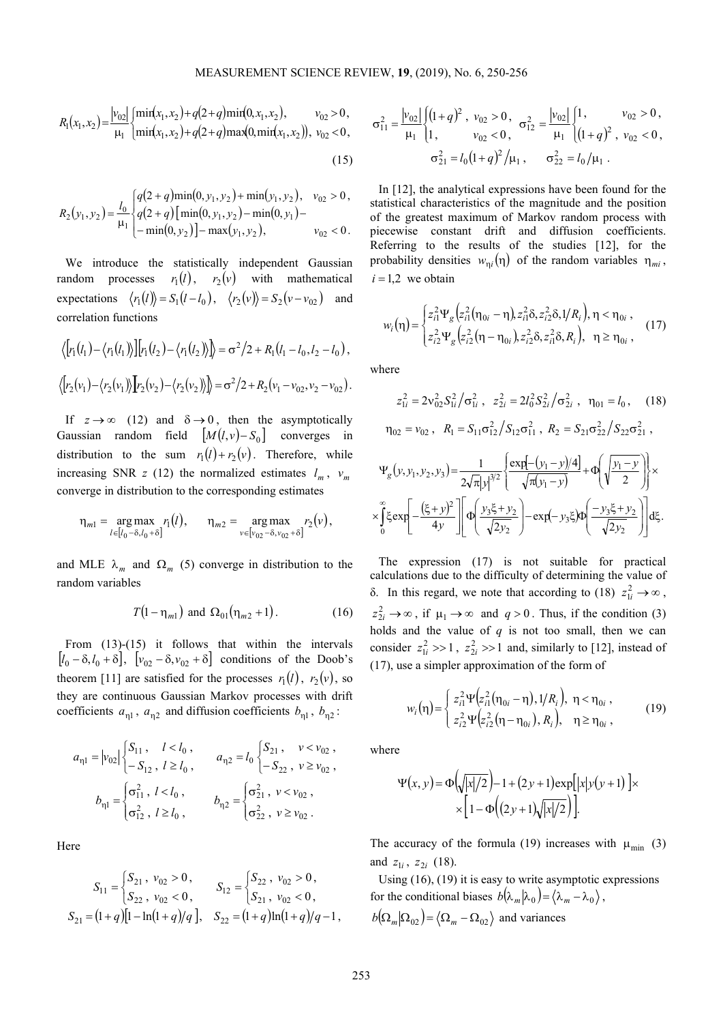$$
R_1(x_1, x_2) = \frac{|v_{02}|}{\mu_1} \begin{cases} \min(x_1, x_2) + q(2+q) \min(0, x_1, x_2), & v_{02} > 0, \\ \min(x_1, x_2) + q(2+q) \max(0, \min(x_1, x_2)), & v_{02} < 0, \end{cases}
$$
\n(15)

$$
R_2(y_1, y_2) = \frac{l_0}{\mu_1} \begin{cases} q(2+q)\min(0, y_1, y_2) + \min(y_1, y_2), & v_{02} > 0, \\ q(2+q)\left[\min(0, y_1, y_2) - \min(0, y_1)\right] - \\ -\min(0, y_2)\left]-\max(y_1, y_2)\right), & v_{02} < 0. \end{cases}
$$

We introduce the statistically independent Gaussian random processes  $r_1(l)$ ,  $r_2(v)$  with mathematical expectations  $\langle r_1(l) \rangle = S_1(l - l_0), \quad \langle r_2(v) \rangle = S_2(v - v_{02})$  and correlation functions

$$
\langle [r_1(l_1) - \langle r_1(l_1) \rangle] [r_1(l_2) - \langle r_1(l_2) \rangle] \rangle = \sigma^2/2 + R_1(l_1 - l_0, l_2 - l_0),
$$
  

$$
\langle [r_2(v_1) - \langle r_2(v_1) \rangle] [r_2(v_2) - \langle r_2(v_2) \rangle] \rangle = \sigma^2/2 + R_2(v_1 - v_{02}, v_2 - v_{02}).
$$

If  $z \to \infty$  (12) and  $\delta \to 0$ , then the asymptotically Gaussian random field  $[M(l, v) - S_0]$  converges in distribution to the sum  $r_1(l) + r_2(v)$ . Therefore, while increasing SNR *z* (12) the normalized estimates  $l_m$ ,  $v_m$ converge in distribution to the corresponding estimates

$$
\eta_{m1} = \underset{l \in [l_0 - \delta, l_0 + \delta]}{\arg \max} r_1(l), \qquad \eta_{m2} = \underset{\nu \in [v_{02} - \delta, v_{02} + \delta]}{\arg \max} r_2(\nu),
$$

and MLE  $\lambda_m$  and  $\Omega_m$  (5) converge in distribution to the random variables

$$
T(1 - \eta_{m1}) \text{ and } \Omega_{01}(\eta_{m2} + 1). \tag{16}
$$

From (13)-(15) it follows that within the intervals  $[l_0 - \delta, l_0 + \delta], \quad [v_{02} - \delta, v_{02} + \delta] \quad$  conditions of the Doob's theorem [11] are satisfied for the processes  $r_1(l)$ ,  $r_2(v)$ , so they are continuous Gaussian Markov processes with drift coefficients  $a_{\eta 1}$ ,  $a_{\eta 2}$  and diffusion coefficients  $b_{\eta 1}$ ,  $b_{\eta 2}$ :

$$
a_{\eta1} = |v_{02}| \begin{cases} S_{11}, & l < l_0, \\ -S_{12}, & l \ge l_0, \end{cases} \qquad a_{\eta2} = l_0 \begin{cases} S_{21}, & v < v_{02}, \\ -S_{22}, & v \ge v_{02}, \end{cases}
$$

$$
b_{\eta1} = \begin{cases} \sigma_{11}^2, & l < l_0, \\ \sigma_{12}^2, & l \ge l_0, \end{cases} \qquad b_{\eta2} = \begin{cases} \sigma_{21}^2, & v < v_{02}, \\ \sigma_{22}^2, & v \ge v_{02}. \end{cases}
$$

**Here** 

$$
S_{11} = \begin{cases} S_{21} \, , \, v_{02} > 0 \, , \\ S_{22} \, , \, v_{02} < 0 \, , \end{cases} \qquad S_{12} = \begin{cases} S_{22} \, , \, v_{02} > 0 \, , \\ S_{21} \, , \, v_{02} < 0 \, , \end{cases}
$$
\n
$$
S_{21} = (1+q)[1-\ln(1+q)/q], \quad S_{22} = (1+q)\ln(1+q)/q - 1 \, ,
$$

$$
\sigma_{11}^2 = \frac{|v_{02}|}{\mu_1} \begin{cases} (1+q)^2, & v_{02} > 0, \\ 1, & v_{02} < 0, \end{cases} \quad \sigma_{12}^2 = \frac{|v_{02}|}{\mu_1} \begin{cases} 1, & v_{02} > 0, \\ (1+q)^2, & v_{02} < 0, \end{cases}
$$

$$
\sigma_{21}^2 = l_0 (1+q)^2 / \mu_1, \quad \sigma_{22}^2 = l_0 / \mu_1.
$$

In [12], the analytical expressions have been found for the statistical characteristics of the magnitude and the position of the greatest maximum of Markov random process with piecewise constant drift and diffusion coefficients. Referring to the results of the studies [12], for the probability densities  $w_{\eta i}(\eta)$  of the random variables  $\eta_{mi}$ ,  $i = 1,2$  we obtain

$$
w_i(\eta) = \begin{cases} z_{i1}^2 \Psi_g \left( z_{i1}^2 (\eta_{0i} - \eta), z_{i1}^2 \delta, z_{i2}^2 \delta, 1/R_i \right), \eta < \eta_{0i} ,\\ z_{i2}^2 \Psi_g \left( z_{i2}^2 (\eta - \eta_{0i}), z_{i2}^2 \delta, z_{i1}^2 \delta, R_i \right), \quad \eta \ge \eta_{0i} , \end{cases}
$$
(17)

where

$$
z_{1i}^{2} = 2v_{02}^{2} S_{1i}^{2} / \sigma_{1i}^{2}, \ z_{2i}^{2} = 2l_{0}^{2} S_{2i}^{2} / \sigma_{2i}^{2}, \ \eta_{01} = l_{0}, \quad (18)
$$

$$
\eta_{02} = v_{02}, \ R_{1} = S_{11} \sigma_{12}^{2} / S_{12} \sigma_{11}^{2}, \ R_{2} = S_{21} \sigma_{22}^{2} / S_{22} \sigma_{21}^{2},
$$

$$
\Psi_{g}(y, y_{1}, y_{2}, y_{3}) = \frac{1}{2\sqrt{\pi}|y|^{3/2}} \left\{ \frac{\exp[-(y_{1} - y)/4]}{\sqrt{\pi(y_{1} - y)}} + \Phi\left(\sqrt{\frac{y_{1} - y}{2}}\right) \right\} \times \left\{ \int_{0}^{\infty} \xi \exp\left[-\frac{(\xi + y)^{2}}{4y}\right] \left[ \Phi\left(\frac{y_{3}\xi + y_{2}}{\sqrt{2y_{2}}}\right) - \exp(-y_{3}\xi) \Phi\left(\frac{-y_{3}\xi + y_{2}}{\sqrt{2y_{2}}}\right) \right] d\xi.
$$

The expression (17) is not suitable for practical calculations due to the difficulty of determining the value of δ. In this regard, we note that according to (18)  $z_{1i}^2 \rightarrow \infty$ ,  $z_{2i}^2 \rightarrow \infty$ , if  $\mu_1 \rightarrow \infty$  and  $q > 0$ . Thus, if the condition (3) holds and the value of  $q$  is not too small, then we can consider  $z_{1i}^2 \gg 1$ ,  $z_{2i}^2 \gg 1$  and, similarly to [12], instead of (17), use a simpler approximation of the form of

$$
w_i(\eta) = \begin{cases} z_{i1}^2 \Psi(z_{i1}^2(\eta_{0i} - \eta), 1/R_i), & \eta < \eta_{0i} ,\\ z_{i2}^2 \Psi(z_{i2}^2(\eta - \eta_{0i}), R_i), & \eta \ge \eta_{0i} , \end{cases}
$$
(19)

where

$$
\Psi(x, y) = \Phi\left(\sqrt{|x|/2}\right) - 1 + (2y + 1)\exp\left[|x|y(y+1)\right] \times \times \left[1 - \Phi\left((2y + 1)\sqrt{|x|/2}\right)\right].
$$

The accuracy of the formula (19) increases with  $\mu_{\min}$  (3) and  $z_{1i}$ ,  $z_{2i}$  (18).

Using (16), (19) it is easy to write asymptotic expressions for the conditional biases  $b(\lambda_m|\lambda_0) = \langle \lambda_m - \lambda_0 \rangle$ ,  $b(\Omega_m | \Omega_{02}) = \langle \Omega_m - \Omega_{02} \rangle$  and variances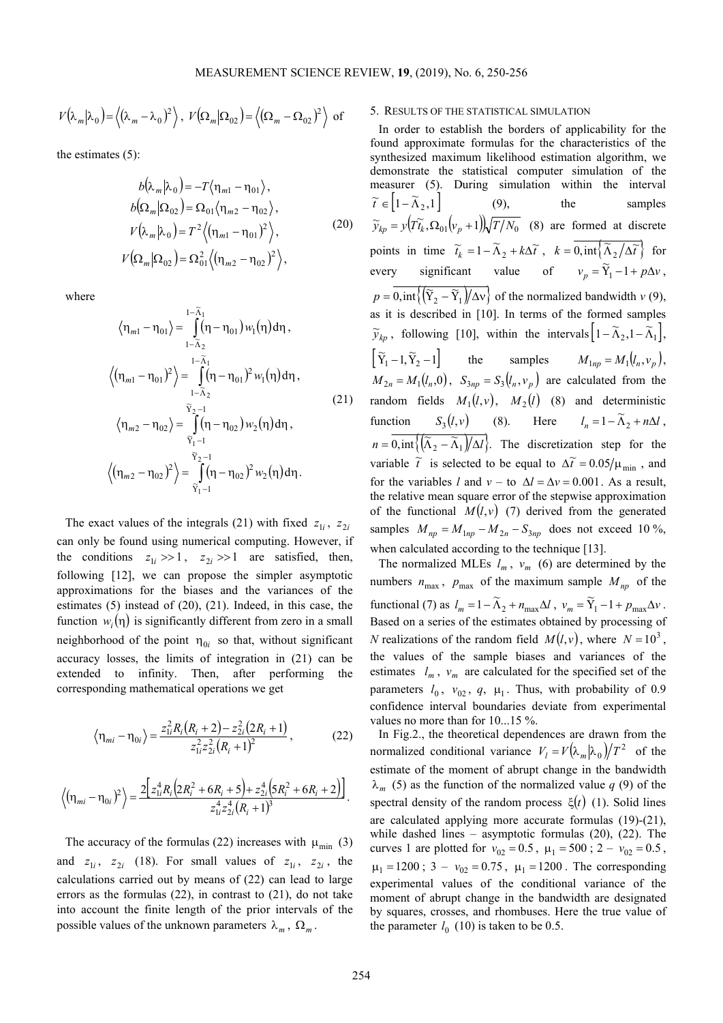$$
V(\lambda_m|\lambda_0) = \langle (\lambda_m - \lambda_0)^2 \rangle
$$
,  $V(\Omega_m|\Omega_{02}) = \langle (\Omega_m - \Omega_{02})^2 \rangle$  of

the estimates (5):

$$
b(\lambda_{m}|\lambda_{0}) = -T\langle \eta_{m1} - \eta_{01} \rangle, b(\Omega_{m}|\Omega_{02}) = \Omega_{01}\langle \eta_{m2} - \eta_{02} \rangle, V(\lambda_{m}|\lambda_{0}) = T^{2}\langle (\eta_{m1} - \eta_{01})^{2} \rangle, V(\Omega_{m}|\Omega_{02}) = \Omega_{01}^{2}\langle (\eta_{m2} - \eta_{02})^{2} \rangle,
$$
 (20)

where

$$
\langle \eta_{m1} - \eta_{01} \rangle = \int_{1-\tilde{\Lambda}_1}^{1-\tilde{\Lambda}_1} (\eta - \eta_{01}) w_1(\eta) d\eta,
$$
  

$$
\langle (\eta_{m1} - \eta_{01})^2 \rangle = \int_{1-\tilde{\Lambda}_2}^{1-\tilde{\Lambda}_1} (\eta - \eta_{01})^2 w_1(\eta) d\eta,
$$
  

$$
\langle \eta_{m2} - \eta_{02} \rangle = \int_{\tilde{Y}_1-1}^{\tilde{Y}_2-1} (\eta - \eta_{02}) w_2(\eta) d\eta,
$$
  

$$
\langle (\eta_{m2} - \eta_{02})^2 \rangle = \int_{\tilde{Y}_1-1}^{\tilde{Y}_2-1} (\eta - \eta_{02})^2 w_2(\eta) d\eta.
$$
 (21)

The exact values of the integrals (21) with fixed  $z_{1i}$ ,  $z_{2i}$ can only be found using numerical computing. However, if the conditions  $z_{1i} \gg 1$ ,  $z_{2i} \gg 1$  are satisfied, then, following [12], we can propose the simpler asymptotic approximations for the biases and the variances of the estimates (5) instead of (20), (21). Indeed, in this case, the function  $w_i(\eta)$  is significantly different from zero in a small neighborhood of the point  $\eta_{0i}$  so that, without significant accuracy losses, the limits of integration in (21) can be extended to infinity. Then, after performing the corresponding mathematical operations we get

$$
\left\langle \eta_{mi} - \eta_{0i} \right\rangle = \frac{z_{1i}^2 R_i (R_i + 2) - z_{2i}^2 (2R_i + 1)}{z_{1i}^2 z_{2i}^2 (R_i + 1)^2},
$$
 (22)

$$
\left\langle (\eta_{mi} - \eta_{0i})^2 \right\rangle = \frac{2 \left[ z_{1i}^4 R_i \left( 2R_i^2 + 6R_i + 5 \right) + z_{2i}^4 \left( 5R_i^2 + 6R_i + 2 \right) \right]}{z_{1i}^4 z_{2i}^4 \left( R_i + 1 \right)^3}.
$$

The accuracy of the formulas (22) increases with  $\mu_{\min}$  (3) and  $z_{1i}$ ,  $z_{2i}$  (18). For small values of  $z_{1i}$ ,  $z_{2i}$ , the calculations carried out by means of (22) can lead to large errors as the formulas (22), in contrast to (21), do not take into account the finite length of the prior intervals of the possible values of the unknown parameters  $\lambda_m$ ,  $\Omega_m$ .

# 5. RESULTS OF THE STATISTICAL SIMULATION

In order to establish the borders of applicability for the found approximate formulas for the characteristics of the synthesized maximum likelihood estimation algorithm, we demonstrate the statistical computer simulation of the measurer (5). During simulation within the interval  $\widetilde{t} \in \left[1 - \widetilde{\Lambda}_2, 1\right]$  (9), the samples  $\widetilde{y}_{kp} = y(T\widetilde{t}_k, \Omega_{01}(v_{p}+1))\sqrt{T/N_0}$  (8) are formed at discrete points in time  $\widetilde{t}_k = 1 - \widetilde{\Lambda}_2 + k\Delta \widetilde{t}$ ,  $k = 0, \text{int}\left\{\widetilde{\Lambda}_2/\Delta \widetilde{t}\right\}$  for every significant value of  $v_p = \widetilde{Y}_1 - 1 + p\Delta v$  $Y_1 - 1 + p\Delta v,$  $p = \overline{0, \text{int}\left\{\left(\overline{Y}_2 - \overline{Y}_1\right)/\Delta v\right\}}$  of the normalized bandwidth *v* (9), as it is described in [10]. In terms of the formed samples  $\widetilde{y}_{kp}$ , following [10], within the intervals  $\left[1-\widetilde{\Lambda}_2, 1-\widetilde{\Lambda}_1\right]$ ,  $\left[ \widetilde{Y}_1 - 1, \widetilde{Y}_2 - 1 \right]$  the samples  $M_{1np} = M_1(l_n, v_p)$ ,  $M_{2n} = M_1(l_n, 0)$ ,  $S_{3np} = S_3(l_n, v_p)$  are calculated from the random fields  $M_1(l, v)$ ,  $M_2(l)$  (8) and deterministic function  $S_3(l, v)$  (8). Here  $l_n = 1 - \widetilde{\Lambda}_2 + n\Delta l$ ,  $n = 0, \text{int}\left\{\left(\frac{\lambda_2 - \lambda_1}{\lambda_2 - \lambda_1}\right)/\Delta l\right\}$ . The discretization step for the variable  $\tilde{t}$  is selected to be equal to  $\Delta \tilde{t} = 0.05 / \mu_{\text{min}}$ , and for the variables *l* and  $v -$  to  $\Delta l = \Delta v = 0.001$ . As a result, the relative mean square error of the stepwise approximation of the functional  $M(l, v)$  (7) derived from the generated samples  $M_{np} = M_{1np} - M_{2n} - S_{3np}$  does not exceed 10 %, when calculated according to the technique [13].

The normalized MLEs  $l_m$ ,  $v_m$  (6) are determined by the numbers  $n_{\text{max}}$ ,  $p_{\text{max}}$  of the maximum sample  $M_{np}$  of the functional (7) as  $l_m = 1 - \widetilde{\Lambda}_2 + n_{\text{max}}\Delta l$ ,  $v_m = \widetilde{Y}_1 - 1 + p_{\text{max}}\Delta v$ . Based on a series of the estimates obtained by processing of *N* realizations of the random field  $M(l, v)$ , where  $N = 10<sup>3</sup>$ , the values of the sample biases and variances of the estimates  $l_m$ ,  $v_m$  are calculated for the specified set of the parameters  $l_0$ ,  $v_{02}$ ,  $q$ ,  $\mu_1$ . Thus, with probability of 0.9 confidence interval boundaries deviate from experimental values no more than for 10...15 %.

In Fig.2., the theoretical dependences are drawn from the normalized conditional variance  $V_l = V(\lambda_m|\lambda_0)/T^2$  of the estimate of the moment of abrupt change in the bandwidth  $\lambda_m$  (5) as the function of the normalized value *q* (9) of the spectral density of the random process  $ξ(t)$  (1). Solid lines are calculated applying more accurate formulas (19)-(21), while dashed lines – asymptotic formulas  $(20)$ ,  $(22)$ . The curves 1 are plotted for  $v_{02} = 0.5$ ,  $\mu_1 = 500$ ;  $2 - v_{02} = 0.5$ ,  $\mu_1 = 1200$ ; 3 –  $v_{02} = 0.75$ ,  $\mu_1 = 1200$ . The corresponding experimental values of the conditional variance of the moment of abrupt change in the bandwidth are designated by squares, crosses, and rhombuses. Here the true value of the parameter  $l_0$  (10) is taken to be 0.5.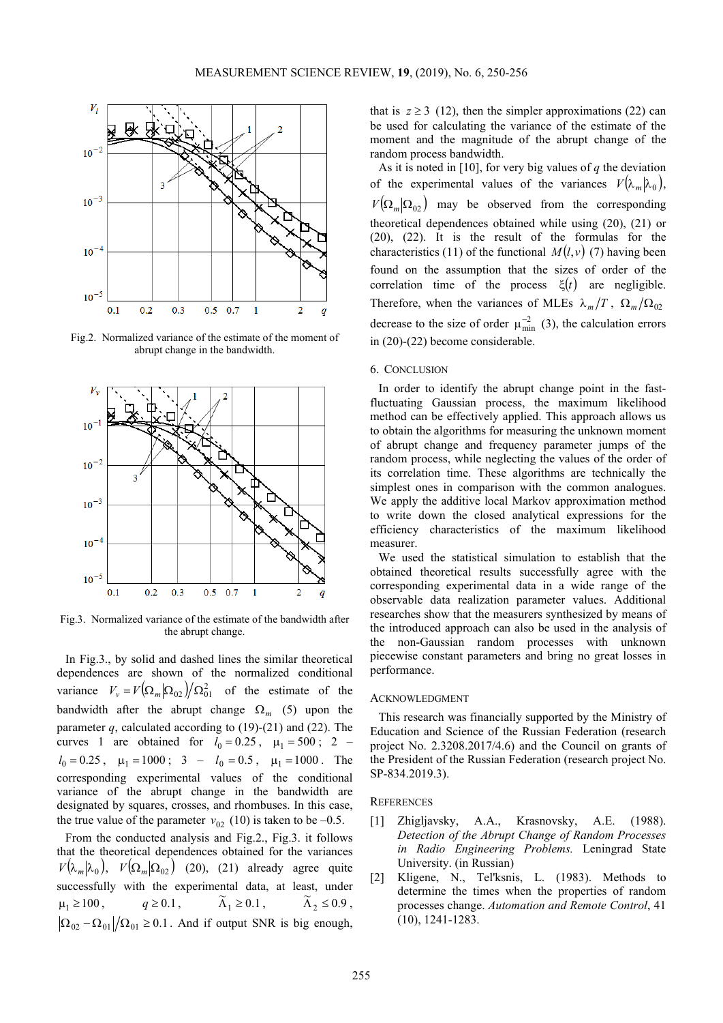

Fig.2. Normalized variance of the estimate of the moment of abrupt change in the bandwidth.



Fig.3. Normalized variance of the estimate of the bandwidth after the abrupt change.

In Fig.3., by solid and dashed lines the similar theoretical dependences are shown of the normalized conditional variance  $V_v = V(\Omega_m | \Omega_{02}) / \Omega_{01}^2$  of the estimate of the bandwidth after the abrupt change  $\Omega_m$  (5) upon the parameter  $q$ , calculated according to  $(19)-(21)$  and  $(22)$ . The curves 1 are obtained for  $l_0 = 0.25$ ,  $\mu_1 = 500$ ; 2 –  $l_0 = 0.25$ ,  $\mu_1 = 1000$ ; 3 –  $l_0 = 0.5$ ,  $\mu_1 = 1000$ . The corresponding experimental values of the conditional variance of the abrupt change in the bandwidth are designated by squares, crosses, and rhombuses. In this case, the true value of the parameter  $v_{02}$  (10) is taken to be –0.5.

From the conducted analysis and Fig.2., Fig.3. it follows that the theoretical dependences obtained for the variances  $V(\lambda_m|\lambda_0)$ ,  $V(\Omega_m|\Omega_{02})$  (20), (21) already agree quite successfully with the experimental data, at least, under  $\mu_1 \ge 100,$   $q \ge 0.1,$   $\tilde{\Lambda}_1 \ge 0.1,$   $\tilde{\Lambda}_2 \le 0.9,$  $|\Omega_{02} - \Omega_{01}|/\Omega_{01} \ge 0.1$ . And if output SNR is big enough,

that is  $z \ge 3$  (12), then the simpler approximations (22) can be used for calculating the variance of the estimate of the moment and the magnitude of the abrupt change of the random process bandwidth.

As it is noted in [10], for very big values of *q* the deviation of the experimental values of the variances  $V(\lambda_m | \lambda_0)$ ,  $V(\Omega_m | \Omega_{02})$  may be observed from the corresponding theoretical dependences obtained while using (20), (21) or (20), (22). It is the result of the formulas for the characteristics (11) of the functional  $M(l, v)$  (7) having been found on the assumption that the sizes of order of the correlation time of the process  $\xi(t)$  are negligible. Therefore, when the variances of MLEs  $\lambda_m/T$ ,  $\Omega_m/\Omega_{02}$ decrease to the size of order  $\mu_{\min}^{-2}$  (3), the calculation errors in (20)-(22) become considerable.

# 6. CONCLUSION

In order to identify the abrupt change point in the fastfluctuating Gaussian process, the maximum likelihood method can be effectively applied. This approach allows us to obtain the algorithms for measuring the unknown moment of abrupt change and frequency parameter jumps of the random process, while neglecting the values of the order of its correlation time. These algorithms are technically the simplest ones in comparison with the common analogues. We apply the additive local Markov approximation method to write down the closed analytical expressions for the efficiency characteristics of the maximum likelihood measurer.

We used the statistical simulation to establish that the obtained theoretical results successfully agree with the corresponding experimental data in a wide range of the observable data realization parameter values. Additional researches show that the measurers synthesized by means of the introduced approach can also be used in the analysis of the non-Gaussian random processes with unknown piecewise constant parameters and bring no great losses in performance.

#### ACKNOWLEDGMENT

This research was financially supported by the Ministry of Education and Science of the Russian Federation (research project No. 2.3208.2017/4.6) and the Council on grants of the President of the Russian Federation (research project No. SP-834.2019.3).

#### **REFERENCES**

- [1] Zhigljavsky, A.A., Krasnovsky, A.E. (1988). *Detection of the Abrupt Change of Random Processes in Radio Engineering Problems.* Leningrad State University. (in Russian)
- [2] Kligene, N., Tel'ksnis, L. (1983). Methods to determine the times when the properties of random processes change. *Automation and Remote Control*, 41 (10), 1241-1283.